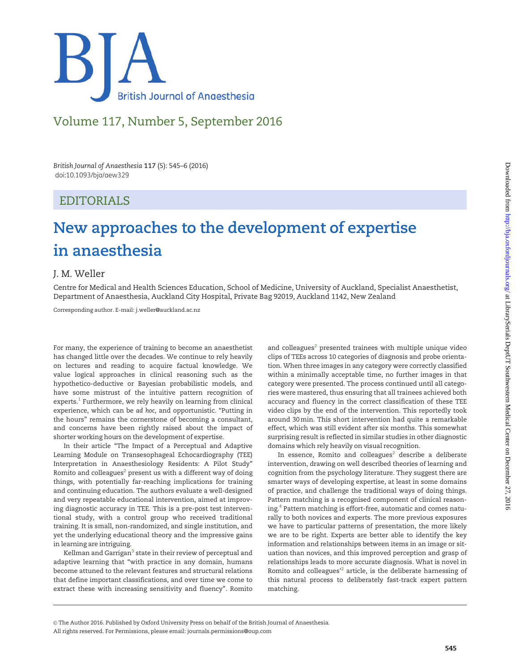

## Volume 117, Number 5, September 2016

British Journal of Anaesthesia 117 (5): 545–6 (2016) doi:10.1093/bja/aew329

### EDITORIALS

## New approaches to the development of expertise in anaesthesia

### J. M. Weller

Centre for Medical and Health Sciences Education, School of Medicine, University of Auckland, Specialist Anaesthetist, Department of Anaesthesia, Auckland City Hospital, Private Bag 92019, Auckland 1142, New Zealand

Corresponding author. E-mail: j.weller@auckland.ac.nz

For many, the experience of training to become an anaesthetist has changed little over the decades. We continue to rely heavily on lectures and reading to acquire factual knowledge. We value logical approaches in clinical reasoning such as the hypothetico-deductive or Bayesian probabilistic models, and have some mistrust of the intuitive pattern recognition of  $exports.<sup>1</sup>$  Furthermore, we rely heavily on learning from clinical experience, which can be ad hoc, and opportunistic. "Putting in the hours" remains the cornerstone of becoming a consultant, and concerns have been rightly raised about the impact of shorter working hours on the development of expertise.

In their article "The Impact of a Perceptual and Adaptive Learning Module on Transesophageal Echocardiography (TEE) Interpretation in Anaesthesiology Residents: A Pilot Study" Romito and colleagues<sup>[2](#page-1-0)</sup> present us with a different way of doing things, with potentially far-reaching implications for training and continuing education. The authors evaluate a well-designed and very repeatable educational intervention, aimed at improving diagnostic accuracy in TEE. This is a pre-post test interventional study, with a control group who received traditional training. It is small, non-randomized, and single institution, and yet the underlying educational theory and the impressive gains in learning are intriguing.

Kellman and Garrigan<sup>[3](#page-1-0)</sup> state in their review of perceptual and adaptive learning that "with practice in any domain, humans become attuned to the relevant features and structural relations that define important classifications, and over time we come to extract these with increasing sensitivity and fluency". Romito

and colleagues $2$  presented trainees with multiple unique video clips of TEEs across 10 categories of diagnosis and probe orientation. When three images in any category were correctly classified within a minimally acceptable time, no further images in that category were presented. The process continued until all categories were mastered, thus ensuring that all trainees achieved both accuracy and fluency in the correct classification of these TEE video clips by the end of the intervention. This reportedly took around 30 min. This short intervention had quite a remarkable effect, which was still evident after six months. This somewhat surprising result is reflected in similar studies in other diagnostic domains which rely heavily on visual recognition.

In essence, Romito and colleagues $2$  describe a deliberate intervention, drawing on well described theories of learning and cognition from the psychology literature. They suggest there are smarter ways of developing expertise, at least in some domains of practice, and challenge the traditional ways of doing things. Pattern matching is a recognised component of clinical reasoning. $4$  Pattern matching is effort-free, automatic and comes naturally to both novices and experts. The more previous exposures we have to particular patterns of presentation, the more likely we are to be right. Experts are better able to identify the key information and relationships between items in an image or situation than novices, and this improved perception and grasp of relationships leads to more accurate diagnosis. What is novel in Romito and colleagues<sup>12</sup> article, is the deliberate harnessing of this natural process to deliberately fast-track expert pattern matching.

All rights reserved. For Permissions, please email: journals.permissions@oup.com

V<sup>C</sup> The Author 2016. Published by Oxford University Press on behalf of the British Journal of Anaesthesia.